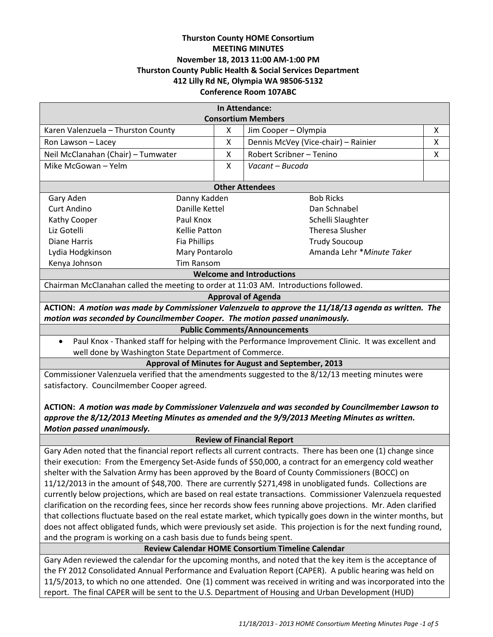# **Thurston County HOME Consortium MEETING MINUTES November 18, 2013 11:00 AM-1:00 PM Thurston County Public Health & Social Services Department 412 Lilly Rd NE, Olympia WA 98506-5132 Conference Room 107ABC**

| In Attendance:                     |                     |   |                                     |   |
|------------------------------------|---------------------|---|-------------------------------------|---|
| <b>Consortium Members</b>          |                     |   |                                     |   |
| Karen Valenzuela - Thurston County |                     | x | Jim Cooper - Olympia                | x |
| Ron Lawson – Lacey                 |                     | X | Dennis McVey (Vice-chair) - Rainier | x |
| Neil McClanahan (Chair) - Tumwater |                     | x | Robert Scribner - Tenino            | x |
| Mike McGowan – Yelm                |                     | X | Vacant – Bucoda                     |   |
|                                    |                     |   |                                     |   |
| <b>Other Attendees</b>             |                     |   |                                     |   |
| Gary Aden                          | Danny Kadden        |   | <b>Bob Ricks</b>                    |   |
| Curt Andino                        | Danille Kettel      |   | Dan Schnabel                        |   |
| Kathy Cooper                       | Paul Knox           |   | Schelli Slaughter                   |   |
| Liz Gotelli                        | Kellie Patton       |   | <b>Theresa Slusher</b>              |   |
| Diane Harris                       | <b>Fia Phillips</b> |   | <b>Trudy Soucoup</b>                |   |
| Lydia Hodgkinson                   | Mary Pontarolo      |   | Amanda Lehr * Minute Taker          |   |
| Kenya Johnson                      | Tim Ransom          |   |                                     |   |
| <b>Welcome and Introductions</b>   |                     |   |                                     |   |

Chairman McClanahan called the meeting to order at 11:03 AM. Introductions followed.

#### **Approval of Agenda**

**ACTION:** *A motion was made by Commissioner Valenzuela to approve the 11/18/13 agenda as written. The motion was seconded by Councilmember Cooper. The motion passed unanimously.*

#### **Public Comments/Announcements**

 Paul Knox - Thanked staff for helping with the Performance Improvement Clinic. It was excellent and well done by Washington State Department of Commerce.

**Approval of Minutes for August and September, 2013**

Commissioner Valenzuela verified that the amendments suggested to the 8/12/13 meeting minutes were satisfactory. Councilmember Cooper agreed.

# **ACTION:** *A motion was made by Commissioner Valenzuela and was seconded by Councilmember Lawson to approve the 8/12/2013 Meeting Minutes as amended and the 9/9/2013 Meeting Minutes as written. Motion passed unanimously.*

## **Review of Financial Report**

Gary Aden noted that the financial report reflects all current contracts. There has been one (1) change since their execution: From the Emergency Set-Aside funds of \$50,000, a contract for an emergency cold weather shelter with the Salvation Army has been approved by the Board of County Commissioners (BOCC) on 11/12/2013 in the amount of \$48,700. There are currently \$271,498 in unobligated funds. Collections are currently below projections, which are based on real estate transactions. Commissioner Valenzuela requested clarification on the recording fees, since her records show fees running above projections. Mr. Aden clarified that collections fluctuate based on the real estate market, which typically goes down in the winter months, but does not affect obligated funds, which were previously set aside. This projection is for the next funding round, and the program is working on a cash basis due to funds being spent.

## **Review Calendar HOME Consortium Timeline Calendar**

Gary Aden reviewed the calendar for the upcoming months, and noted that the key item is the acceptance of the FY 2012 Consolidated Annual Performance and Evaluation Report (CAPER). A public hearing was held on 11/5/2013, to which no one attended. One (1) comment was received in writing and was incorporated into the report. The final CAPER will be sent to the U.S. Department of Housing and Urban Development (HUD)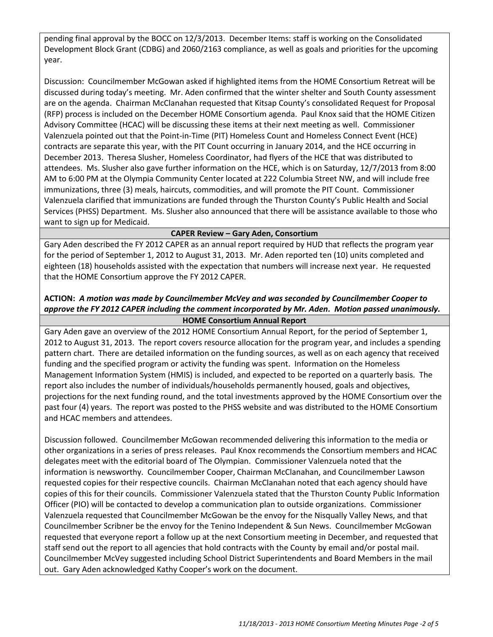pending final approval by the BOCC on 12/3/2013. December Items: staff is working on the Consolidated Development Block Grant (CDBG) and 2060/2163 compliance, as well as goals and priorities for the upcoming year.

Discussion: Councilmember McGowan asked if highlighted items from the HOME Consortium Retreat will be discussed during today's meeting. Mr. Aden confirmed that the winter shelter and South County assessment are on the agenda. Chairman McClanahan requested that Kitsap County's consolidated Request for Proposal (RFP) process is included on the December HOME Consortium agenda. Paul Knox said that the HOME Citizen Advisory Committee (HCAC) will be discussing these items at their next meeting as well. Commissioner Valenzuela pointed out that the Point-in-Time (PIT) Homeless Count and Homeless Connect Event (HCE) contracts are separate this year, with the PIT Count occurring in January 2014, and the HCE occurring in December 2013. Theresa Slusher, Homeless Coordinator, had flyers of the HCE that was distributed to attendees. Ms. Slusher also gave further information on the HCE, which is on Saturday, 12/7/2013 from 8:00 AM to 6:00 PM at the Olympia Community Center located at 222 Columbia Street NW, and will include free immunizations, three (3) meals, haircuts, commodities, and will promote the PIT Count. Commissioner Valenzuela clarified that immunizations are funded through the Thurston County's Public Health and Social Services (PHSS) Department. Ms. Slusher also announced that there will be assistance available to those who want to sign up for Medicaid.

## **CAPER Review – Gary Aden, Consortium**

Gary Aden described the FY 2012 CAPER as an annual report required by HUD that reflects the program year for the period of September 1, 2012 to August 31, 2013. Mr. Aden reported ten (10) units completed and eighteen (18) households assisted with the expectation that numbers will increase next year. He requested that the HOME Consortium approve the FY 2012 CAPER.

## **ACTION:** *A motion was made by Councilmember McVey and was seconded by Councilmember Cooper to approve the FY 2012 CAPER including the comment incorporated by Mr. Aden. Motion passed unanimously.* **HOME Consortium Annual Report**

Gary Aden gave an overview of the 2012 HOME Consortium Annual Report, for the period of September 1, 2012 to August 31, 2013. The report covers resource allocation for the program year, and includes a spending pattern chart. There are detailed information on the funding sources, as well as on each agency that received funding and the specified program or activity the funding was spent. Information on the Homeless Management Information System (HMIS) is included, and expected to be reported on a quarterly basis. The report also includes the number of individuals/households permanently housed, goals and objectives, projections for the next funding round, and the total investments approved by the HOME Consortium over the past four (4) years. The report was posted to the PHSS website and was distributed to the HOME Consortium and HCAC members and attendees.

Discussion followed. Councilmember McGowan recommended delivering this information to the media or other organizations in a series of press releases. Paul Knox recommends the Consortium members and HCAC delegates meet with the editorial board of The Olympian. Commissioner Valenzuela noted that the information is newsworthy. Councilmember Cooper, Chairman McClanahan, and Councilmember Lawson requested copies for their respective councils. Chairman McClanahan noted that each agency should have copies of this for their councils. Commissioner Valenzuela stated that the Thurston County Public Information Officer (PIO) will be contacted to develop a communication plan to outside organizations. Commissioner Valenzuela requested that Councilmember McGowan be the envoy for the Nisqually Valley News, and that Councilmember Scribner be the envoy for the Tenino Independent & Sun News. Councilmember McGowan requested that everyone report a follow up at the next Consortium meeting in December, and requested that staff send out the report to all agencies that hold contracts with the County by email and/or postal mail. Councilmember McVey suggested including School District Superintendents and Board Members in the mail out. Gary Aden acknowledged Kathy Cooper's work on the document.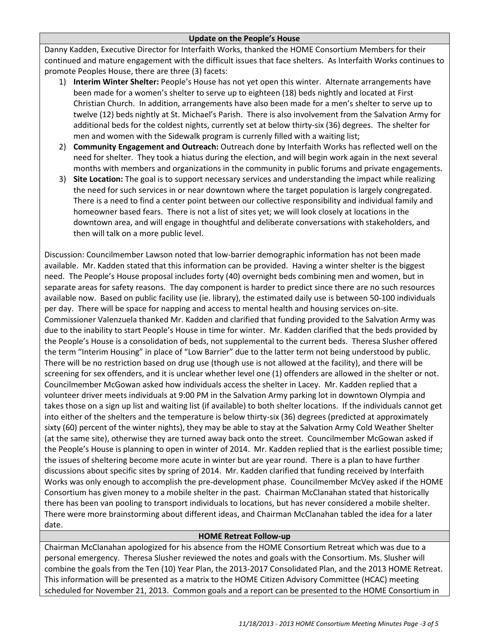### **Update on the People's House**

Danny Kadden, Executive Director for Interfaith Works, thanked the HOME Consortium Members for their continued and mature engagement with the difficult issues that face shelters. As Interfaith Works continues to promote Peoples House, there are three (3) facets:

- 1) **Interim Winter Shelter:** People's House has not yet open this winter. Alternate arrangements have been made for a women's shelter to serve up to eighteen (18) beds nightly and located at First Christian Church. In addition, arrangements have also been made for a men's shelter to serve up to twelve (12) beds nightly at St. Michael's Parish. There is also involvement from the Salvation Army for additional beds for the coldest nights, currently set at below thirty-six (36) degrees. The shelter for men and women with the Sidewalk program is currenly filled with a waiting list;
- 2) **Community Engagement and Outreach:** Outreach done by Interfaith Works has reflected well on the need for shelter. They took a hiatus during the election, and will begin work again in the next several months with members and organizations in the community in public forums and private engagements.
- 3) **Site Location:** The goal is to support necessary services and understanding the impact while realizing the need for such services in or near downtown where the target population is largely congregated. There is a need to find a center point between our collective responsibility and individual family and homeowner based fears. There is not a list of sites yet; we will look closely at locations in the downtown area, and will engage in thoughtful and deliberate conversations with stakeholders, and then will talk on a more public level.

Discussion: Councilmember Lawson noted that low-barrier demographic information has not been made available. Mr. Kadden stated that this information can be provided. Having a winter shelter is the biggest need. The People's House proposal includes forty (40) overnight beds combining men and women, but in separate areas for safety reasons. The day component is harder to predict since there are no such resources available now. Based on public facility use (ie. library), the estimated daily use is between 50-100 individuals per day. There will be space for napping and access to mental health and housing services on-site. Commissioner Valenzuela thanked Mr. Kadden and clarified that funding provided to the Salvation Army was due to the inability to start People's House in time for winter. Mr. Kadden clarified that the beds provided by the People's House is a consolidation of beds, not supplemental to the current beds. Theresa Slusher offered the term "Interim Housing" in place of "Low Barrier" due to the latter term not being understood by public. There will be no restriction based on drug use (though use is not allowed at the facility), and there will be screening for sex offenders, and it is unclear whether level one (1) offenders are allowed in the shelter or not. Councilmember McGowan asked how individuals access the shelter in Lacey. Mr. Kadden replied that a volunteer driver meets individuals at 9:00 PM in the Salvation Army parking lot in downtown Olympia and takes those on a sign up list and waiting list (if available) to both shelter locations. If the individuals cannot get into either of the shelters and the temperature is below thirty-six (36) degrees (predicted at approximately sixty (60) percent of the winter nights), they may be able to stay at the Salvation Army Cold Weather Shelter (at the same site), otherwise they are turned away back onto the street. Councilmember McGowan asked if the People's House is planning to open in winter of 2014. Mr. Kadden replied that is the earliest possible time; the issues of sheltering become more acute in winter but are year round. There is a plan to have further discussions about specific sites by spring of 2014. Mr. Kadden clarified that funding received by Interfaith Works was only enough to accomplish the pre-development phase. Councilmember McVey asked if the HOME Consortium has given money to a mobile shelter in the past. Chairman McClanahan stated that historically there has been van pooling to transport individuals to locations, but has never considered a mobile shelter. There were more brainstorming about different ideas, and Chairman McClanahan tabled the idea for a later date.

#### **HOME Retreat Follow-up**

Chairman McClanahan apologized for his absence from the HOME Consortium Retreat which was due to a personal emergency. Theresa Slusher reviewed the notes and goals with the Consortium. Ms. Slusher will combine the goals from the Ten (10) Year Plan, the 2013-2017 Consolidated Plan, and the 2013 HOME Retreat. This information will be presented as a matrix to the HOME Citizen Advisory Committee (HCAC) meeting scheduled for November 21, 2013. Common goals and a report can be presented to the HOME Consortium in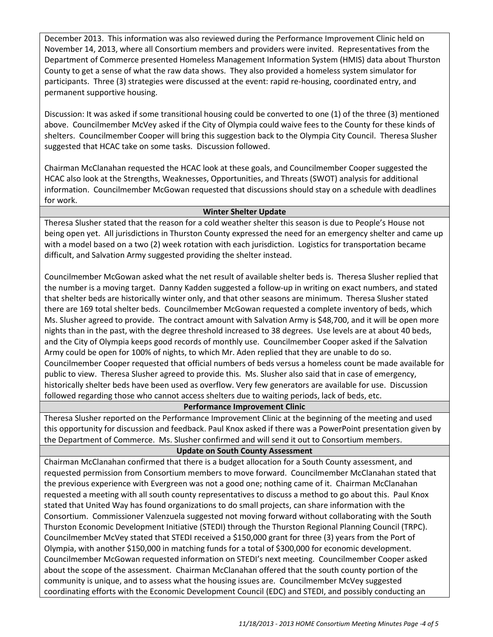December 2013. This information was also reviewed during the Performance Improvement Clinic held on November 14, 2013, where all Consortium members and providers were invited. Representatives from the Department of Commerce presented Homeless Management Information System (HMIS) data about Thurston County to get a sense of what the raw data shows. They also provided a homeless system simulator for participants. Three (3) strategies were discussed at the event: rapid re-housing, coordinated entry, and permanent supportive housing.

Discussion: It was asked if some transitional housing could be converted to one (1) of the three (3) mentioned above. Councilmember McVey asked if the City of Olympia could waive fees to the County for these kinds of shelters. Councilmember Cooper will bring this suggestion back to the Olympia City Council. Theresa Slusher suggested that HCAC take on some tasks. Discussion followed.

Chairman McClanahan requested the HCAC look at these goals, and Councilmember Cooper suggested the HCAC also look at the Strengths, Weaknesses, Opportunities, and Threats (SWOT) analysis for additional information. Councilmember McGowan requested that discussions should stay on a schedule with deadlines for work.

### **Winter Shelter Update**

Theresa Slusher stated that the reason for a cold weather shelter this season is due to People's House not being open yet. All jurisdictions in Thurston County expressed the need for an emergency shelter and came up with a model based on a two (2) week rotation with each jurisdiction. Logistics for transportation became difficult, and Salvation Army suggested providing the shelter instead.

Councilmember McGowan asked what the net result of available shelter beds is. Theresa Slusher replied that the number is a moving target. Danny Kadden suggested a follow-up in writing on exact numbers, and stated that shelter beds are historically winter only, and that other seasons are minimum. Theresa Slusher stated there are 169 total shelter beds. Councilmember McGowan requested a complete inventory of beds, which Ms. Slusher agreed to provide. The contract amount with Salvation Army is \$48,700, and it will be open more nights than in the past, with the degree threshold increased to 38 degrees. Use levels are at about 40 beds, and the City of Olympia keeps good records of monthly use. Councilmember Cooper asked if the Salvation Army could be open for 100% of nights, to which Mr. Aden replied that they are unable to do so. Councilmember Cooper requested that official numbers of beds versus a homeless count be made available for public to view. Theresa Slusher agreed to provide this. Ms. Slusher also said that in case of emergency, historically shelter beds have been used as overflow. Very few generators are available for use. Discussion followed regarding those who cannot access shelters due to waiting periods, lack of beds, etc.

## **Performance Improvement Clinic**

Theresa Slusher reported on the Performance Improvement Clinic at the beginning of the meeting and used this opportunity for discussion and feedback. Paul Knox asked if there was a PowerPoint presentation given by the Department of Commerce. Ms. Slusher confirmed and will send it out to Consortium members.

## **Update on South County Assessment**

Chairman McClanahan confirmed that there is a budget allocation for a South County assessment, and requested permission from Consortium members to move forward. Councilmember McClanahan stated that the previous experience with Evergreen was not a good one; nothing came of it. Chairman McClanahan requested a meeting with all south county representatives to discuss a method to go about this. Paul Knox stated that United Way has found organizations to do small projects, can share information with the Consortium. Commissioner Valenzuela suggested not moving forward without collaborating with the South Thurston Economic Development Initiative (STEDI) through the Thurston Regional Planning Council (TRPC). Councilmember McVey stated that STEDI received a \$150,000 grant for three (3) years from the Port of Olympia, with another \$150,000 in matching funds for a total of \$300,000 for economic development. Councilmember McGowan requested information on STEDI's next meeting. Councilmember Cooper asked about the scope of the assessment. Chairman McClanahan offered that the south county portion of the community is unique, and to assess what the housing issues are. Councilmember McVey suggested coordinating efforts with the Economic Development Council (EDC) and STEDI, and possibly conducting an